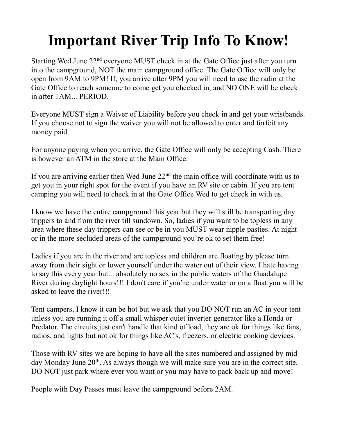## **Important River Trip Info To Know!**

Starting Wed June  $22<sup>nd</sup>$  everyone MUST check in at the Gate Office just after you turn into the campground, NOT the main campground office. The Gate Office will only be open from 9AM to 9PM! If, you arrive after 9PM you will need to use the radio at the Gate Office to reach someone to come get you checked in, and NO ONE will be check in after 1AM... PERIOD.

Everyone MUST sign a Waiver of Liability before you check in and get your wristbands. If you choose not to sign the waiver you will not be allowed to enter and forfeit any money paid.

For anyone paying when you arrive, the Gate Office will only be accepting Cash. There is however an ATM in the store at the Main Office.

If you are arriving earlier then Wed June  $22<sup>nd</sup>$  the main office will coordinate with us to get you in your right spot for the event if you have an RV site or cabin. If you are tent camping you will need to check in at the Gate Office Wed to get check in with us.

I know we have the entire campground this year but they will still be transporting day trippers to and from the river till sundown. So, ladies if you want to be topless in any area where these day trippers can see or be in you MUST wear nipple pasties. At night or in the more secluded areas of the campground you're ok to set them free!

Ladies if you are in the river and are topless and children are floating by please turn away from their sight or lower yourself under the water out of their view. I hate having to say this every year but... absolutely no sex in the public waters of the Guadalupe River during daylight hours!!! I don't care if you're under water or on a float you will be asked to leave the river!!!

Tent campers, I know it can be hot but we ask that you DO NOT run an AC in your tent unless you are running it off a small whisper quiet inverter generator like a Honda or Predator. The circuits just can't handle that kind of load, they are ok for things like fans, radios, and lights but not ok for things like AC's, freezers, or electric cooking devices.

Those with RV sites we are hoping to have all the sites numbered and assigned by midday Monday June  $20<sup>th</sup>$ . As always though we will make sure you are in the correct site. DO NOT just park where ever you want or you may have to pack back up and move!

People with Day Passes must leave the campground before 2AM.